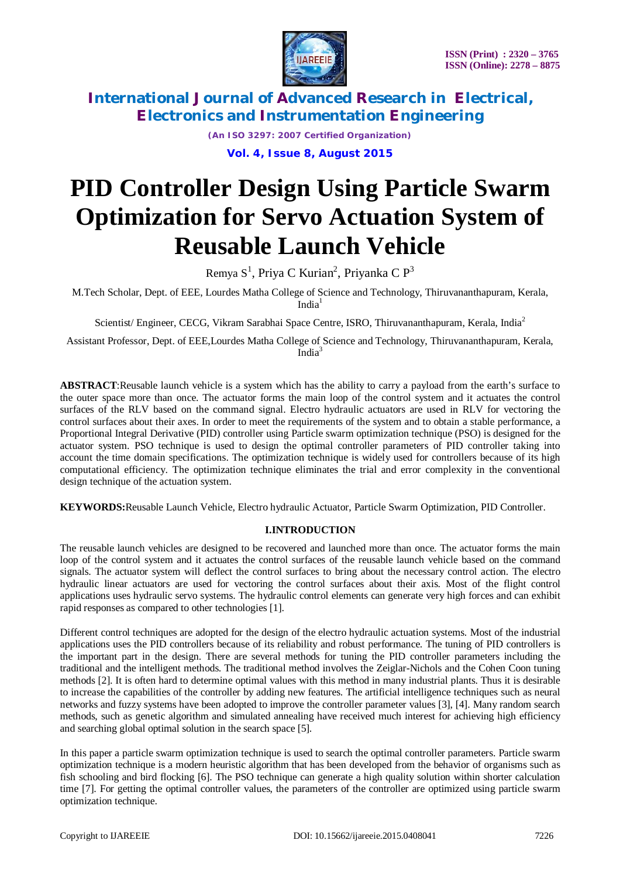

*(An ISO 3297: 2007 Certified Organization)* **Vol. 4, Issue 8, August 2015**

# **PID Controller Design Using Particle Swarm Optimization for Servo Actuation System of Reusable Launch Vehicle**

Remya  $S^1$ , Priya C Kurian<sup>2</sup>, Priyanka C P<sup>3</sup>

M.Tech Scholar, Dept. of EEE, Lourdes Matha College of Science and Technology, Thiruvananthapuram, Kerala,  $India<sup>1</sup>$ 

Scientist/ Engineer, CECG, Vikram Sarabhai Space Centre, ISRO, Thiruvananthapuram, Kerala, India<sup>2</sup>

Assistant Professor, Dept. of EEE,Lourdes Matha College of Science and Technology, Thiruvananthapuram, Kerala, India<sup>3</sup>

**ABSTRACT**:Reusable launch vehicle is a system which has the ability to carry a payload from the earth's surface to the outer space more than once. The actuator forms the main loop of the control system and it actuates the control surfaces of the RLV based on the command signal. Electro hydraulic actuators are used in RLV for vectoring the control surfaces about their axes. In order to meet the requirements of the system and to obtain a stable performance, a Proportional Integral Derivative (PID) controller using Particle swarm optimization technique (PSO) is designed for the actuator system. PSO technique is used to design the optimal controller parameters of PID controller taking into account the time domain specifications. The optimization technique is widely used for controllers because of its high computational efficiency. The optimization technique eliminates the trial and error complexity in the conventional design technique of the actuation system.

**KEYWORDS:**Reusable Launch Vehicle, Electro hydraulic Actuator, Particle Swarm Optimization, PID Controller.

## **I.INTRODUCTION**

The reusable launch vehicles are designed to be recovered and launched more than once. The actuator forms the main loop of the control system and it actuates the control surfaces of the reusable launch vehicle based on the command signals. The actuator system will deflect the control surfaces to bring about the necessary control action. The electro hydraulic linear actuators are used for vectoring the control surfaces about their axis. Most of the flight control applications uses hydraulic servo systems. The hydraulic control elements can generate very high forces and can exhibit rapid responses as compared to other technologies [1].

Different control techniques are adopted for the design of the electro hydraulic actuation systems. Most of the industrial applications uses the PID controllers because of its reliability and robust performance. The tuning of PID controllers is the important part in the design. There are several methods for tuning the PID controller parameters including the traditional and the intelligent methods. The traditional method involves the Zeiglar-Nichols and the Cohen Coon tuning methods [2]. It is often hard to determine optimal values with this method in many industrial plants. Thus it is desirable to increase the capabilities of the controller by adding new features. The artificial intelligence techniques such as neural networks and fuzzy systems have been adopted to improve the controller parameter values [3], [4]. Many random search methods, such as genetic algorithm and simulated annealing have received much interest for achieving high efficiency and searching global optimal solution in the search space [5].

In this paper a particle swarm optimization technique is used to search the optimal controller parameters. Particle swarm optimization technique is a modern heuristic algorithm that has been developed from the behavior of organisms such as fish schooling and bird flocking [6]. The PSO technique can generate a high quality solution within shorter calculation time [7]. For getting the optimal controller values, the parameters of the controller are optimized using particle swarm optimization technique.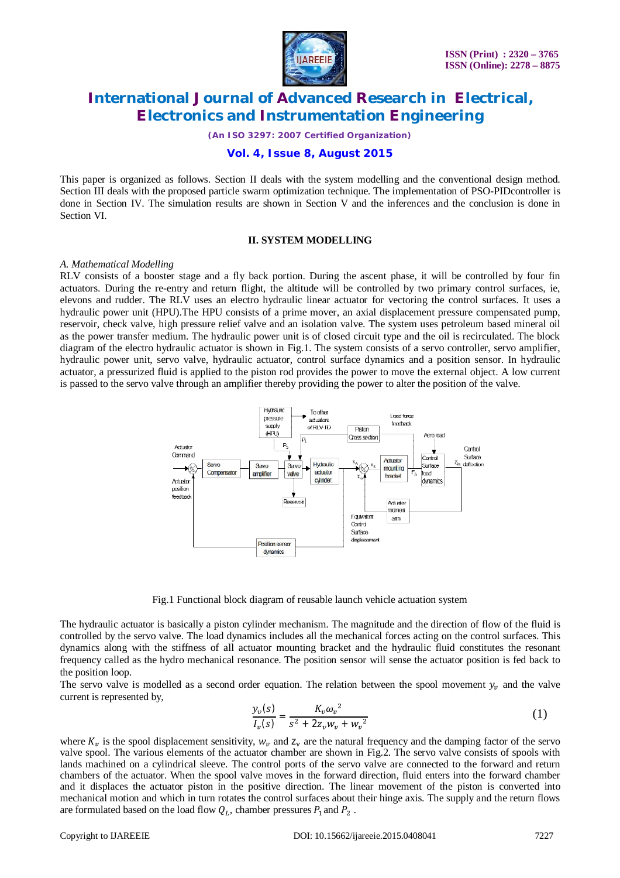

*(An ISO 3297: 2007 Certified Organization)*

## **Vol. 4, Issue 8, August 2015**

This paper is organized as follows. Section II deals with the system modelling and the conventional design method. Section III deals with the proposed particle swarm optimization technique. The implementation of PSO-PIDcontroller is done in Section IV. The simulation results are shown in Section V and the inferences and the conclusion is done in Section VI.

#### **II. SYSTEM MODELLING**

#### *A. Mathematical Modelling*

RLV consists of a booster stage and a fly back portion. During the ascent phase, it will be controlled by four fin actuators. During the re-entry and return flight, the altitude will be controlled by two primary control surfaces, ie, elevons and rudder. The RLV uses an electro hydraulic linear actuator for vectoring the control surfaces. It uses a hydraulic power unit (HPU).The HPU consists of a prime mover, an axial displacement pressure compensated pump, reservoir, check valve, high pressure relief valve and an isolation valve. The system uses petroleum based mineral oil as the power transfer medium. The hydraulic power unit is of closed circuit type and the oil is recirculated. The block diagram of the electro hydraulic actuator is shown in Fig.1. The system consists of a servo controller, servo amplifier, hydraulic power unit, servo valve, hydraulic actuator, control surface dynamics and a position sensor. In hydraulic actuator, a pressurized fluid is applied to the piston rod provides the power to move the external object. A low current is passed to the servo valve through an amplifier thereby providing the power to alter the position of the valve.



Fig.1 Functional block diagram of reusable launch vehicle actuation system

The hydraulic actuator is basically a piston cylinder mechanism. The magnitude and the direction of flow of the fluid is controlled by the servo valve. The load dynamics includes all the mechanical forces acting on the control surfaces. This dynamics along with the stiffness of all actuator mounting bracket and the hydraulic fluid constitutes the resonant frequency called as the hydro mechanical resonance. The position sensor will sense the actuator position is fed back to the position loop.

The servo valve is modelled as a second order equation. The relation between the spool movement  $y_n$  and the valve current is represented by,

$$
\frac{y_v(s)}{I_v(s)} = \frac{K_v \omega_v^2}{s^2 + 2z_v w_v + w_v^2}
$$
 (1)

where  $K_v$  is the spool displacement sensitivity,  $W_v$  and  $Z_v$  are the natural frequency and the damping factor of the servo valve spool. The various elements of the actuator chamber are shown in Fig.2. The servo valve consists of spools with lands machined on a cylindrical sleeve. The control ports of the servo valve are connected to the forward and return chambers of the actuator. When the spool valve moves in the forward direction, fluid enters into the forward chamber and it displaces the actuator piston in the positive direction. The linear movement of the piston is converted into mechanical motion and which in turn rotates the control surfaces about their hinge axis. The supply and the return flows are formulated based on the load flow  $Q_L$ , chamber pressures  $P_1$  and  $P_2$ .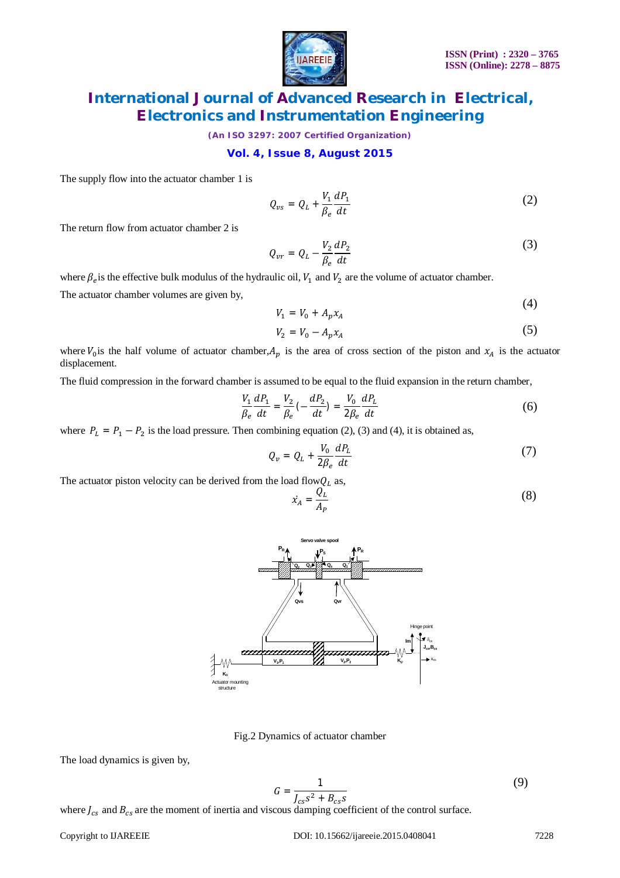

*(An ISO 3297: 2007 Certified Organization)*

#### **Vol. 4, Issue 8, August 2015**

The supply flow into the actuator chamber 1 is

$$
Q_{\nu s} = Q_L + \frac{V_1}{\beta_e} \frac{dP_1}{dt} \tag{2}
$$

The return flow from actuator chamber 2 is

$$
Q_{vr} = Q_L - \frac{V_2}{\beta_e} \frac{dP_2}{dt} \tag{3}
$$

where  $\beta_e$  is the effective bulk modulus of the hydraulic oil,  $V_1$  and  $V_2$  are the volume of actuator chamber.

The actuator chamber volumes are given by,

$$
V_1 = V_0 + A_p x_A \tag{4}
$$

$$
V_2 = V_0 - A_p x_A \tag{5}
$$

where  $V_0$  is the half volume of actuator chamber,  $A_p$  is the area of cross section of the piston and  $x_A$  is the actuator displacement.

The fluid compression in the forward chamber is assumed to be equal to the fluid expansion in the return chamber,

$$
\frac{V_1}{\beta_e} \frac{dP_1}{dt} = \frac{V_2}{\beta_e} \left( -\frac{dP_2}{dt} \right) = \frac{V_0}{2\beta_e} \frac{dP_L}{dt}
$$
(6)

where  $P_L = P_1 - P_2$  is the load pressure. Then combining equation (2), (3) and (4), it is obtained as,

$$
Q_v = Q_L + \frac{V_0}{2\beta_e} \frac{dP_L}{dt} \tag{7}
$$

The actuator piston velocity can be derived from the load flow $Q_L$  as,

$$
\dot{x}_A = \frac{Q_L}{A_P} \tag{8}
$$



Fig.2 Dynamics of actuator chamber

The load dynamics is given by,

$$
G = \frac{1}{J_{cs}s^2 + B_{cs}s} \tag{9}
$$

where  $J_{cs}$  and  $B_{cs}$  are the moment of inertia and viscous damping coefficient of the control surface.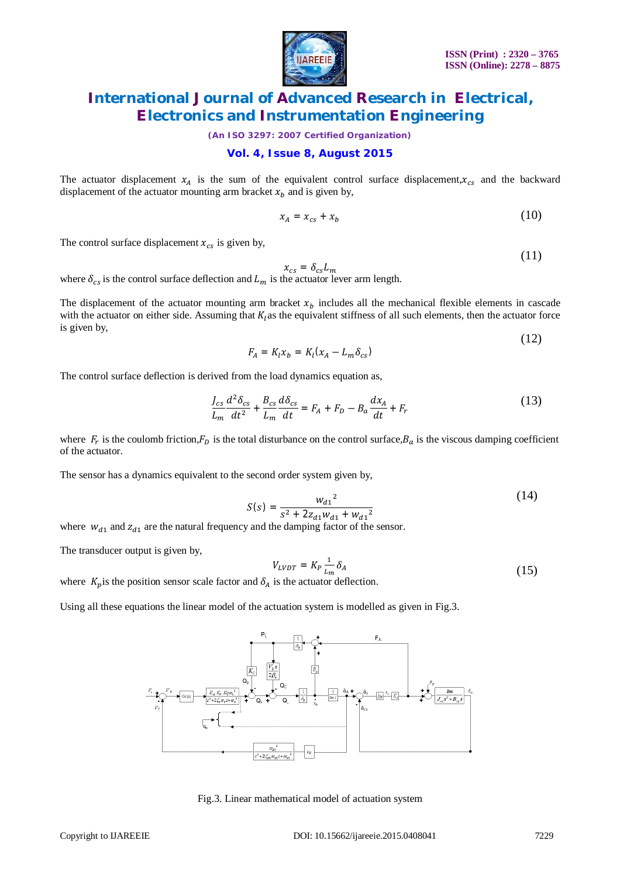

(11)

# **International Journal of Advanced Research in Electrical, Electronics and Instrumentation Engineering**

*(An ISO 3297: 2007 Certified Organization)*

## **Vol. 4, Issue 8, August 2015**

The actuator displacement  $x_A$  is the sum of the equivalent control surface displacement, $x_{cs}$  and the backward displacement of the actuator mounting arm bracket  $x<sub>b</sub>$  and is given by,

$$
x_A = x_{cs} + x_b \tag{10}
$$

The control surface displacement  $x_{cs}$  is given by,

$$
x_{cs} = \delta_{cs} L_m
$$

where  $\delta_{cs}$  is the control surface deflection and  $L_m$  is the actuator lever arm length.

The displacement of the actuator mounting arm bracket  $x<sub>b</sub>$  includes all the mechanical flexible elements in cascade with the actuator on either side. Assuming that  $K<sub>l</sub>$  as the equivalent stiffness of all such elements, then the actuator force is given by, (12)

$$
F_A = K_l x_b = K_l (x_A - L_m \delta_{cs})
$$

The control surface deflection is derived from the load dynamics equation as,

$$
\frac{J_{cs}}{L_m} \frac{d^2 \delta_{cs}}{dt^2} + \frac{B_{cs}}{L_m} \frac{d \delta_{cs}}{dt} = F_A + F_D - B_a \frac{dx_A}{dt} + F_r
$$
\n(13)

where  $F_r$  is the coulomb friction, $F_p$  is the total disturbance on the control surface,  $B_a$  is the viscous damping coefficient of the actuator.

The sensor has a dynamics equivalent to the second order system given by,

$$
S(s) = \frac{{w_{d1}}^2}{s^2 + 2z_{d1}w_{d1} + {w_{d1}}^2}
$$
 (14)

where  $w_{d1}$  and  $z_{d1}$  are the natural frequency and the damping factor of the sensor.

The transducer output is given by,

$$
V_{LVDT} = K_P \frac{1}{L_m} \delta_A \tag{15}
$$

where  $K_p$  is the position sensor scale factor and  $\delta_A$  is the actuator deflection.

Using all these equations the linear model of the actuation system is modelled as given in Fig.3.



Fig.3. Linear mathematical model of actuation system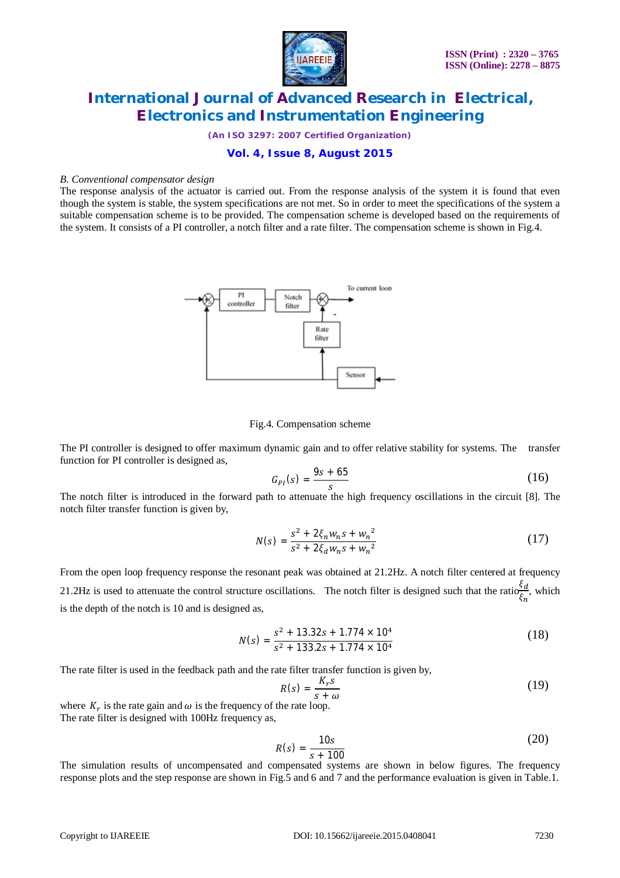

*(An ISO 3297: 2007 Certified Organization)*

## **Vol. 4, Issue 8, August 2015**

#### *B. Conventional compensator design*

The response analysis of the actuator is carried out. From the response analysis of the system it is found that even though the system is stable, the system specifications are not met. So in order to meet the specifications of the system a suitable compensation scheme is to be provided. The compensation scheme is developed based on the requirements of the system. It consists of a PI controller, a notch filter and a rate filter. The compensation scheme is shown in Fig.4.



#### Fig.4. Compensation scheme

The PI controller is designed to offer maximum dynamic gain and to offer relative stability for systems. The transfer function for PI controller is designed as,

$$
G_{PI}(s) = \frac{9s + 65}{s} \tag{16}
$$

The notch filter is introduced in the forward path to attenuate the high frequency oscillations in the circuit [8]. The notch filter transfer function is given by,

$$
N(s) = \frac{s^2 + 2\xi_n w_n s + w_n^2}{s^2 + 2\xi_d w_n s + w_n^2}
$$
 (17)

From the open loop frequency response the resonant peak was obtained at 21.2Hz. A notch filter centered at frequency 21.2Hz is used to attenuate the control structure oscillations. The notch filter is designed such that the ratio $\frac{\xi_d}{\xi_d}$  $\frac{3a}{\xi_n}$ , which is the depth of the notch is 10 and is designed as,

$$
N(s) = \frac{s^2 + 13.32s + 1.774 \times 10^4}{s^2 + 133.2s + 1.774 \times 10^4}
$$
 (18)

The rate filter is used in the feedback path and the rate filter transfer function is given by,

$$
R(s) = \frac{K_r s}{s + \omega} \tag{19}
$$

where  $K_r$  is the rate gain and  $\omega$  is the frequency of the rate loop. The rate filter is designed with 100Hz frequency as,

$$
R(s) = \frac{10s}{s + 100} \tag{20}
$$

The simulation results of uncompensated and compensated systems are shown in below figures. The frequency response plots and the step response are shown in Fig.5 and 6 and 7 and the performance evaluation is given in Table.1.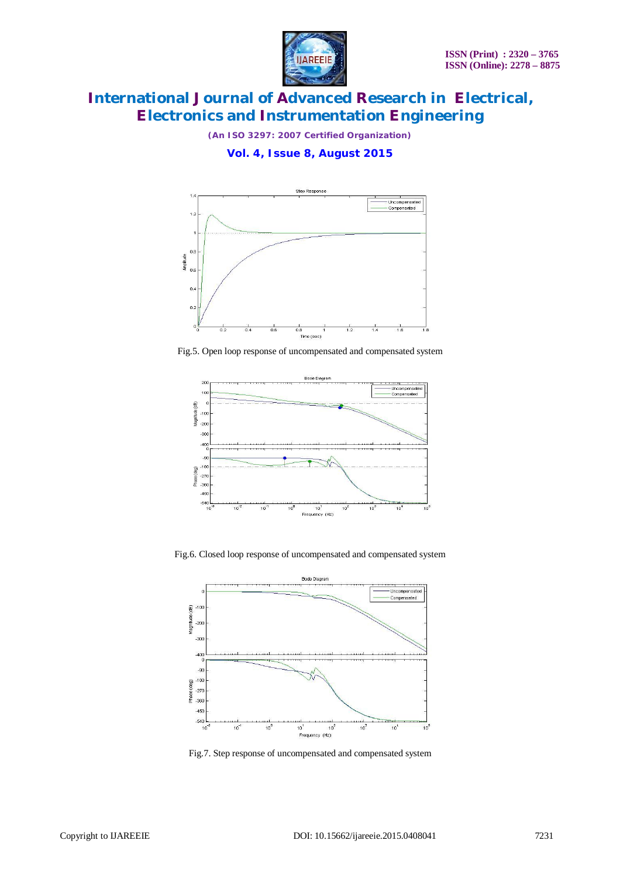

*(An ISO 3297: 2007 Certified Organization)*

## **Vol. 4, Issue 8, August 2015**



Fig.5. Open loop response of uncompensated and compensated system



Fig.6. Closed loop response of uncompensated and compensated system



Fig.7. Step response of uncompensated and compensated system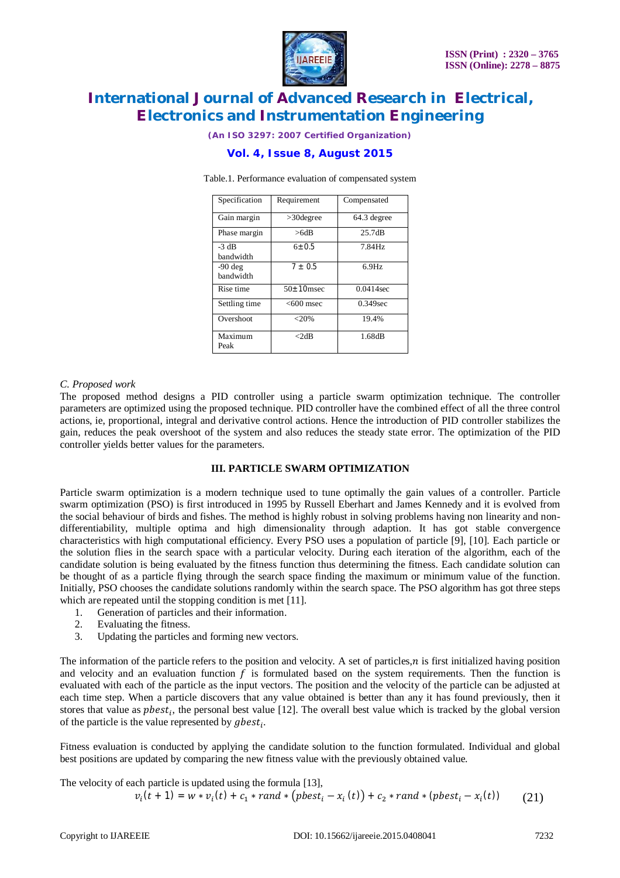

*(An ISO 3297: 2007 Certified Organization)*

## **Vol. 4, Issue 8, August 2015**

| Specification          | Requirement      | Compensated |  |  |  |
|------------------------|------------------|-------------|--|--|--|
| Gain margin            | $>30$ degree     | 64.3 degree |  |  |  |
| Phase margin           | >6dB             | 25.7dB      |  |  |  |
| $-3$ dB<br>bandwidth   | $6 + 0.5$        | 7.84Hz      |  |  |  |
| $-90$ deg<br>handwidth | $7 + 0.5$        | $6.9$ Hz    |  |  |  |
| Rise time              | $50 \pm 10$ msec | 0.0414sec   |  |  |  |
| Settling time          | $<600$ msec      | $0.349$ sec |  |  |  |
| Overshoot              | $<$ 20%          | 19.4%       |  |  |  |
| Maximum<br>Peak        | $<$ 2dB          | 1.68dB      |  |  |  |

Table.1. Performance evaluation of compensated system

#### *C. Proposed work*

The proposed method designs a PID controller using a particle swarm optimization technique. The controller parameters are optimized using the proposed technique. PID controller have the combined effect of all the three control actions, ie, proportional, integral and derivative control actions. Hence the introduction of PID controller stabilizes the gain, reduces the peak overshoot of the system and also reduces the steady state error. The optimization of the PID controller yields better values for the parameters.

#### **III. PARTICLE SWARM OPTIMIZATION**

Particle swarm optimization is a modern technique used to tune optimally the gain values of a controller. Particle swarm optimization (PSO) is first introduced in 1995 by Russell Eberhart and James Kennedy and it is evolved from the social behaviour of birds and fishes. The method is highly robust in solving problems having non linearity and nondifferentiability, multiple optima and high dimensionality through adaption. It has got stable convergence characteristics with high computational efficiency. Every PSO uses a population of particle [9], [10]. Each particle or the solution flies in the search space with a particular velocity. During each iteration of the algorithm, each of the candidate solution is being evaluated by the fitness function thus determining the fitness. Each candidate solution can be thought of as a particle flying through the search space finding the maximum or minimum value of the function. Initially, PSO chooses the candidate solutions randomly within the search space. The PSO algorithm has got three steps which are repeated until the stopping condition is met [11].

- 1. Generation of particles and their information.
- 2. Evaluating the fitness.
- 3. Updating the particles and forming new vectors.

The information of the particle refers to the position and velocity. A set of particles, $n$  is first initialized having position and velocity and an evaluation function  $f$  is formulated based on the system requirements. Then the function is evaluated with each of the particle as the input vectors. The position and the velocity of the particle can be adjusted at each time step. When a particle discovers that any value obtained is better than any it has found previously, then it stores that value as  $pbest_i$ , the personal best value [12]. The overall best value which is tracked by the global version of the particle is the value represented by  $gbest_i$ .

Fitness evaluation is conducted by applying the candidate solution to the function formulated. Individual and global best positions are updated by comparing the new fitness value with the previously obtained value.

The velocity of each particle is updated using the formula [13],  $v_i(t + 1) = w * v_i(t) + c_1 * rand * (pbest_i - x_i(t)) + c_2 * rand * (pbest_i - x_i(t))$  $(21)$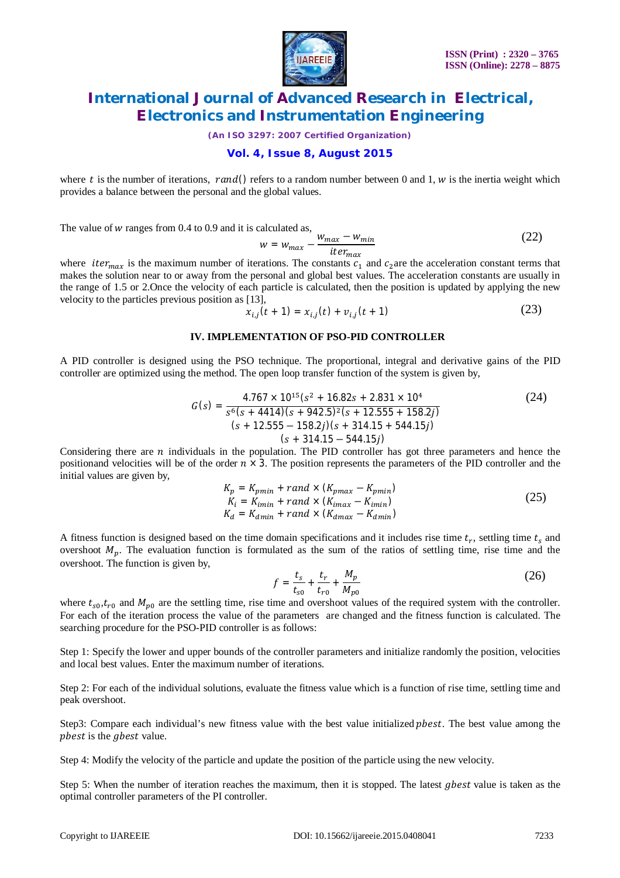

*(An ISO 3297: 2007 Certified Organization)*

## **Vol. 4, Issue 8, August 2015**

where t is the number of iterations, rand() refers to a random number between 0 and 1, w is the inertia weight which provides a balance between the personal and the global values.

The value of  $w$  ranges from 0.4 to 0.9 and it is calculated as

$$
w = w_{max} - \frac{w_{max} - w_{min}}{iter_{max}}
$$
 (22)

where *iter<sub>max</sub>* is the maximum number of iterations. The constants  $c_1$  and  $c_2$ are the acceleration constant terms that makes the solution near to or away from the personal and global best values. The acceleration constants are usually in the range of 1.5 or 2.Once the velocity of each particle is calculated, then the position is updated by applying the new velocity to the particles previous position as [13],

$$
x_{i,j}(t+1) = x_{i,j}(t) + v_{i,j}(t+1)
$$
 (23)

#### **IV. IMPLEMENTATION OF PSO-PID CONTROLLER**

A PID controller is designed using the PSO technique. The proportional, integral and derivative gains of the PID controller are optimized using the method. The open loop transfer function of the system is given by,

$$
G(s) = \frac{4.767 \times 10^{15} (s^2 + 16.82s + 2.831 \times 10^4)}{s^6 (s + 4414)(s + 942.5)^2 (s + 12.555 + 158.2j)}
$$
\n
$$
(s + 12.555 - 158.2j)(s + 314.15 + 544.15j)
$$
\n
$$
(s + 314.15 - 544.15j)
$$
\n
$$
(s + 314.15 - 544.15j)
$$
\n
$$
(s + 314.15 - 544.15j)
$$
\n
$$
(s + 314.15 - 544.15j)
$$

Considering there are  $n$  individuals in the population. The PID controller has got three parameters and hence the positionand velocities will be of the order  $n \times 3$ . The position represents the parameters of the PID controller and the initial values are given by,

$$
K_p = K_{pmin} + rand \times (K_{pmax} - K_{pmin})
$$
  
\n
$$
K_i = K_{imin} + rand \times (K_{imax} - K_{imin})
$$
  
\n
$$
K_d = K_{dmin} + rand \times (K_{dmax} - K_{dmin})
$$
\n(25)

A fitness function is designed based on the time domain specifications and it includes rise time  $t_r$ , settling time  $t_s$  and overshoot  $M_n$ . The evaluation function is formulated as the sum of the ratios of settling time, rise time and the overshoot. The function is given by,

$$
f = \frac{t_s}{t_{s0}} + \frac{t_r}{t_{r0}} + \frac{M_p}{M_{p0}}
$$
 (26)

where  $t_{s0}, t_{r0}$  and  $M_{p0}$  are the settling time, rise time and overshoot values of the required system with the controller. For each of the iteration process the value of the parameters are changed and the fitness function is calculated. The searching procedure for the PSO-PID controller is as follows:

Step 1: Specify the lower and upper bounds of the controller parameters and initialize randomly the position, velocities and local best values. Enter the maximum number of iterations.

Step 2: For each of the individual solutions, evaluate the fitness value which is a function of rise time, settling time and peak overshoot.

Step3: Compare each individual's new fitness value with the best value initialized *phest*. The best value among the phest is the *ghest* value.

Step 4: Modify the velocity of the particle and update the position of the particle using the new velocity.

Step 5: When the number of iteration reaches the maximum, then it is stopped. The latest gbest value is taken as the optimal controller parameters of the PI controller.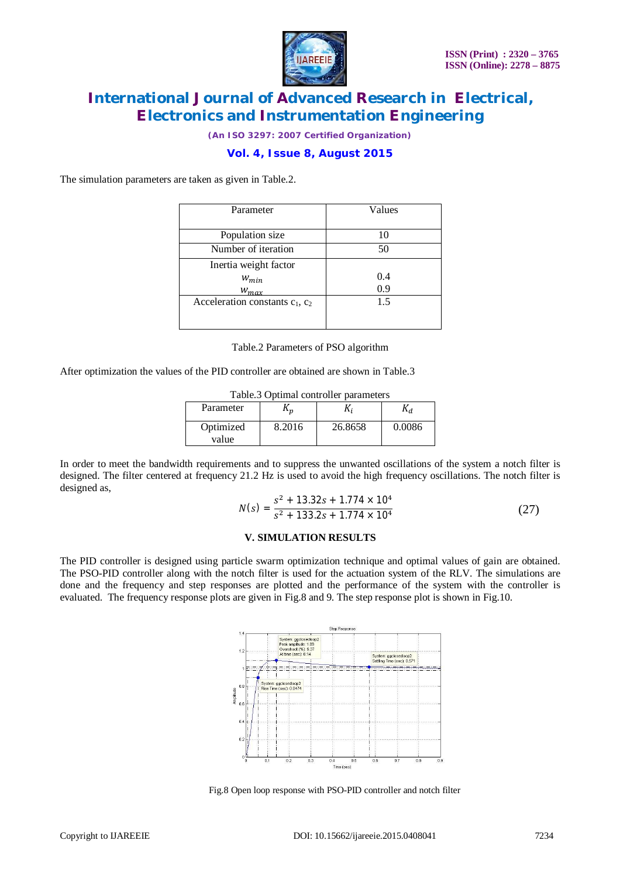

*(An ISO 3297: 2007 Certified Organization)*

## **Vol. 4, Issue 8, August 2015**

The simulation parameters are taken as given in Table.2.

| Parameter                            | Values |  |  |  |
|--------------------------------------|--------|--|--|--|
|                                      |        |  |  |  |
| Population size                      | 10     |  |  |  |
| Number of iteration                  | 50     |  |  |  |
| Inertia weight factor                |        |  |  |  |
| $W_{min}$                            | 0.4    |  |  |  |
| $W_{max}$                            | 0.9    |  |  |  |
| Acceleration constants $c_1$ , $c_2$ | 1.5    |  |  |  |
|                                      |        |  |  |  |
|                                      |        |  |  |  |

Table.2 Parameters of PSO algorithm

After optimization the values of the PID controller are obtained are shown in Table.3

| Table.3 Optimal controller parameters |        |         |        |  |  |  |
|---------------------------------------|--------|---------|--------|--|--|--|
| Parameter                             |        | Λ,      |        |  |  |  |
| Optimized<br>value                    | 8.2016 | 26.8658 | 0.0086 |  |  |  |

In order to meet the bandwidth requirements and to suppress the unwanted oscillations of the system a notch filter is designed. The filter centered at frequency 21.2 Hz is used to avoid the high frequency oscillations. The notch filter is designed as,

$$
N(s) = \frac{s^2 + 13.32s + 1.774 \times 10^4}{s^2 + 133.2s + 1.774 \times 10^4}
$$
 (27)

#### **V. SIMULATION RESULTS**

The PID controller is designed using particle swarm optimization technique and optimal values of gain are obtained. The PSO-PID controller along with the notch filter is used for the actuation system of the RLV. The simulations are done and the frequency and step responses are plotted and the performance of the system with the controller is evaluated. The frequency response plots are given in Fig.8 and 9. The step response plot is shown in Fig.10.

|                         |                                                                                             |                                                  |     | Step Response |     |                                                     |     |     |     |  |  |
|-------------------------|---------------------------------------------------------------------------------------------|--------------------------------------------------|-----|---------------|-----|-----------------------------------------------------|-----|-----|-----|--|--|
| 1.4<br>1.2              | System: ggclosedloop2<br>Peak amplitude: 1.09<br>Overshoot (%): 9.37<br>At time (sec): 0.14 |                                                  |     |               |     | System: ggclosedloop2<br>Settling Time (sec): 0.571 |     |     |     |  |  |
| 1                       |                                                                                             |                                                  |     |               |     |                                                     |     |     |     |  |  |
| 0.8<br><b>Amplitude</b> |                                                                                             | System: ggclosedloop2<br>Rise Time (sec): 0.0474 |     |               |     |                                                     |     |     |     |  |  |
| 0.6                     |                                                                                             |                                                  |     |               |     |                                                     |     |     |     |  |  |
| 0.4                     |                                                                                             |                                                  |     |               |     |                                                     |     |     |     |  |  |
| 0.2                     |                                                                                             |                                                  |     |               |     |                                                     |     |     |     |  |  |
|                         | ō<br>0.1<br>$\theta$                                                                        | 0.2                                              | 0.3 | 0.4           | 0.5 | 0.6                                                 | 0.7 | 0.8 | 0.9 |  |  |
|                         |                                                                                             |                                                  |     | Time (sec)    |     |                                                     |     |     |     |  |  |

Fig.8 Open loop response with PSO-PID controller and notch filter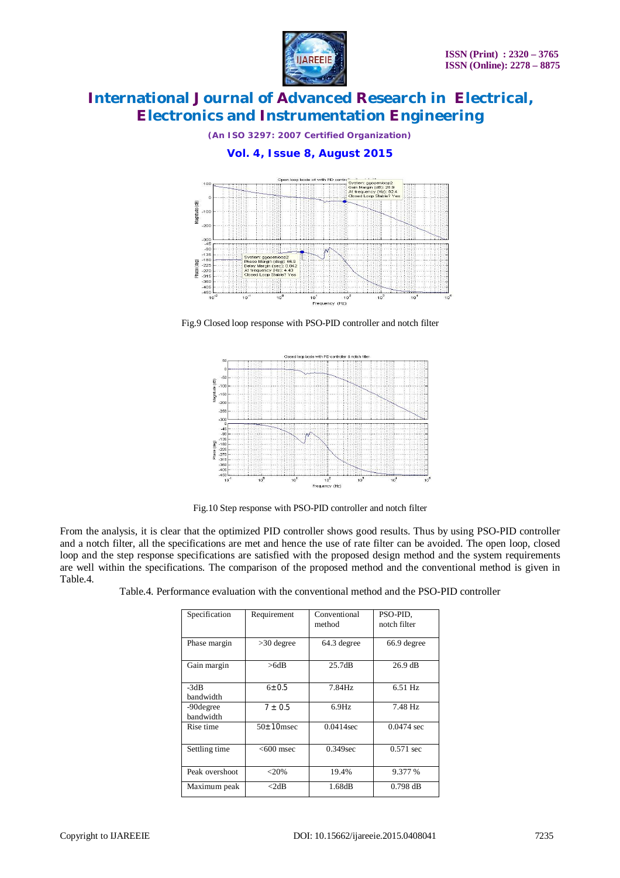

*(An ISO 3297: 2007 Certified Organization)*

## **Vol. 4, Issue 8, August 2015**



Fig.9 Closed loop response with PSO-PID controller and notch filter



Fig.10 Step response with PSO-PID controller and notch filter

From the analysis, it is clear that the optimized PID controller shows good results. Thus by using PSO-PID controller and a notch filter, all the specifications are met and hence the use of rate filter can be avoided. The open loop, closed loop and the step response specifications are satisfied with the proposed design method and the system requirements are well within the specifications. The comparison of the proposed method and the conventional method is given in Table.4.

| Specification  | Requirement      | Conventional | PSO-PID,          |  |
|----------------|------------------|--------------|-------------------|--|
|                |                  | method       | notch filter      |  |
|                |                  |              |                   |  |
| Phase margin   | $>30$ degree     | 64.3 degree  | 66.9 degree       |  |
|                |                  |              |                   |  |
| Gain margin    | >6dB             | 25.7dB       | $26.9 \text{ dB}$ |  |
|                |                  |              |                   |  |
| $-3dB$         | $6 + 0.5$        | 7.84Hz       | $6.51$ Hz         |  |
| bandwidth      |                  |              |                   |  |
| -90 degree     | $7 + 0.5$        | $6.9$ Hz     | 7.48 Hz           |  |
| bandwidth      |                  |              |                   |  |
| Rise time      | $50 \pm 10$ msec | $0.0414$ sec | $0.0474$ sec      |  |
|                |                  |              |                   |  |
| Settling time  | $<$ 600 msec     | $0.349$ sec  | $0.571$ sec       |  |
|                |                  |              |                   |  |
| Peak overshoot | ${<}20\%$        | 19.4%        | 9.377 %           |  |
| Maximum peak   | $<$ 2dB          | 1.68dB       | $0.798$ dB        |  |
|                |                  |              |                   |  |

| Table.4. Performance evaluation with the conventional method and the PSO-PID controller |  |  |  |  |
|-----------------------------------------------------------------------------------------|--|--|--|--|
|                                                                                         |  |  |  |  |